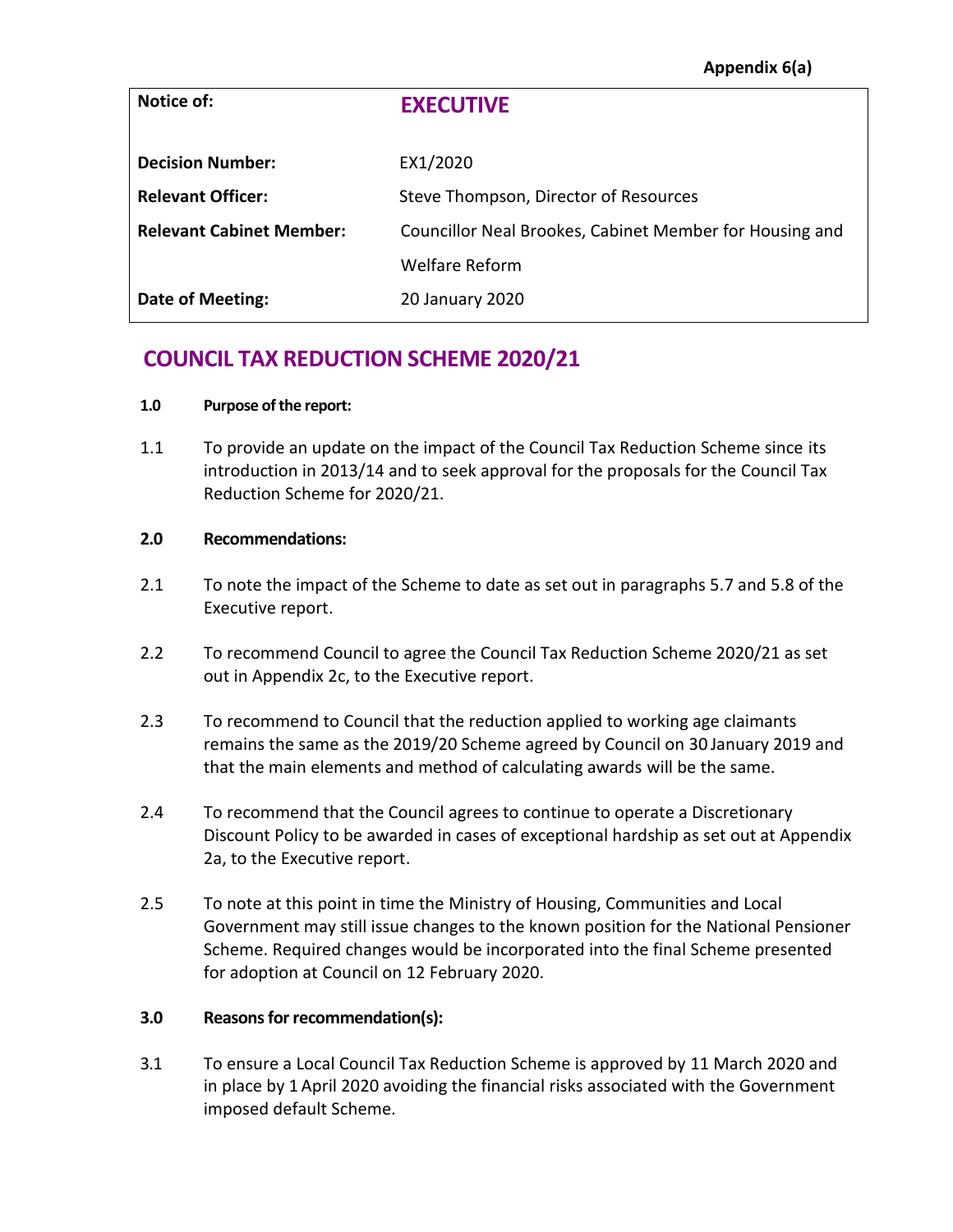| Notice of:                      | <b>EXECUTIVE</b>                                        |
|---------------------------------|---------------------------------------------------------|
| <b>Decision Number:</b>         | EX1/2020                                                |
| <b>Relevant Officer:</b>        | Steve Thompson, Director of Resources                   |
| <b>Relevant Cabinet Member:</b> | Councillor Neal Brookes, Cabinet Member for Housing and |
|                                 | <b>Welfare Reform</b>                                   |
| <b>Date of Meeting:</b>         | 20 January 2020                                         |

# **COUNCIL TAX REDUCTION SCHEME 2020/21**

#### **1.0 Purpose of the report:**

1.1 To provide an update on the impact of the Council Tax Reduction Scheme since its introduction in 2013/14 and to seek approval for the proposals for the Council Tax Reduction Scheme for 2020/21.

# **2.0 Recommendations:**

- 2.1 To note the impact of the Scheme to date as set out in paragraphs 5.7 and 5.8 of the Executive report.
- 2.2 To recommend Council to agree the Council Tax Reduction Scheme 2020/21 as set out in Appendix 2c, to the Executive report.
- 2.3 To recommend to Council that the reduction applied to working age claimants remains the same as the 2019/20 Scheme agreed by Council on 30 January 2019 and that the main elements and method of calculating awards will be the same.
- 2.4 To recommend that the Council agrees to continue to operate a Discretionary Discount Policy to be awarded in cases of exceptional hardship as set out at Appendix 2a, to the Executive report.
- 2.5 To note at this point in time the Ministry of Housing, Communities and Local Government may still issue changes to the known position for the National Pensioner Scheme. Required changes would be incorporated into the final Scheme presented for adoption at Council on 12 February 2020.

# **3.0 Reasons for recommendation(s):**

3.1 To ensure a Local Council Tax Reduction Scheme is approved by 11 March 2020 and in place by 1 April 2020 avoiding the financial risks associated with the Government imposed default Scheme.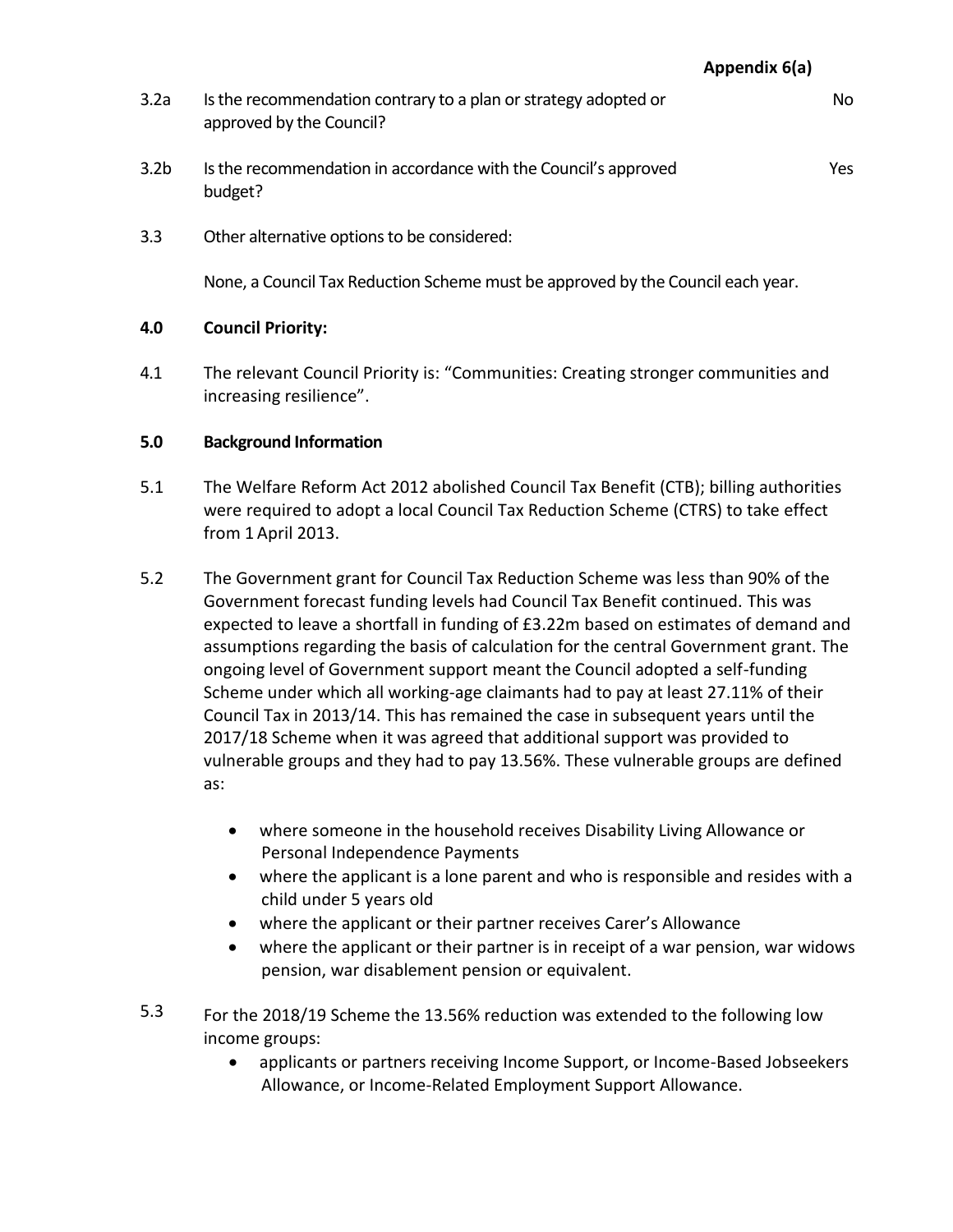**Appendix 6(a)**

- 3.2a Is the recommendation contrary to a plan or strategy adopted or approved by the Council? No
- 3.2b Is the recommendation in accordance with the Council's approved budget? Yes
- 3.3 Other alternative options to be considered:

None, a Council Tax Reduction Scheme must be approved by the Council each year.

# **4.0 Council Priority:**

4.1 The relevant Council Priority is: "Communities: Creating stronger communities and increasing resilience".

# **5.0 Background Information**

- 5.1 The Welfare Reform Act 2012 abolished Council Tax Benefit (CTB); billing authorities were required to adopt a local Council Tax Reduction Scheme (CTRS) to take effect from 1 April 2013.
- 5.2 The Government grant for Council Tax Reduction Scheme was less than 90% of the Government forecast funding levels had Council Tax Benefit continued. This was expected to leave a shortfall in funding of £3.22m based on estimates of demand and assumptions regarding the basis of calculation for the central Government grant. The ongoing level of Government support meant the Council adopted a self-funding Scheme under which all working-age claimants had to pay at least 27.11% of their Council Tax in 2013/14. This has remained the case in subsequent years until the 2017/18 Scheme when it was agreed that additional support was provided to vulnerable groups and they had to pay 13.56%. These vulnerable groups are defined as:
	- where someone in the household receives Disability Living Allowance or Personal Independence Payments
	- where the applicant is a lone parent and who is responsible and resides with a child under 5 years old
	- where the applicant or their partner receives Carer's Allowance
	- where the applicant or their partner is in receipt of a war pension, war widows pension, war disablement pension or equivalent.
- 5.3 For the 2018/19 Scheme the 13.56% reduction was extended to the following low income groups:
	- applicants or partners receiving Income Support, or Income-Based Jobseekers Allowance, or Income-Related Employment Support Allowance.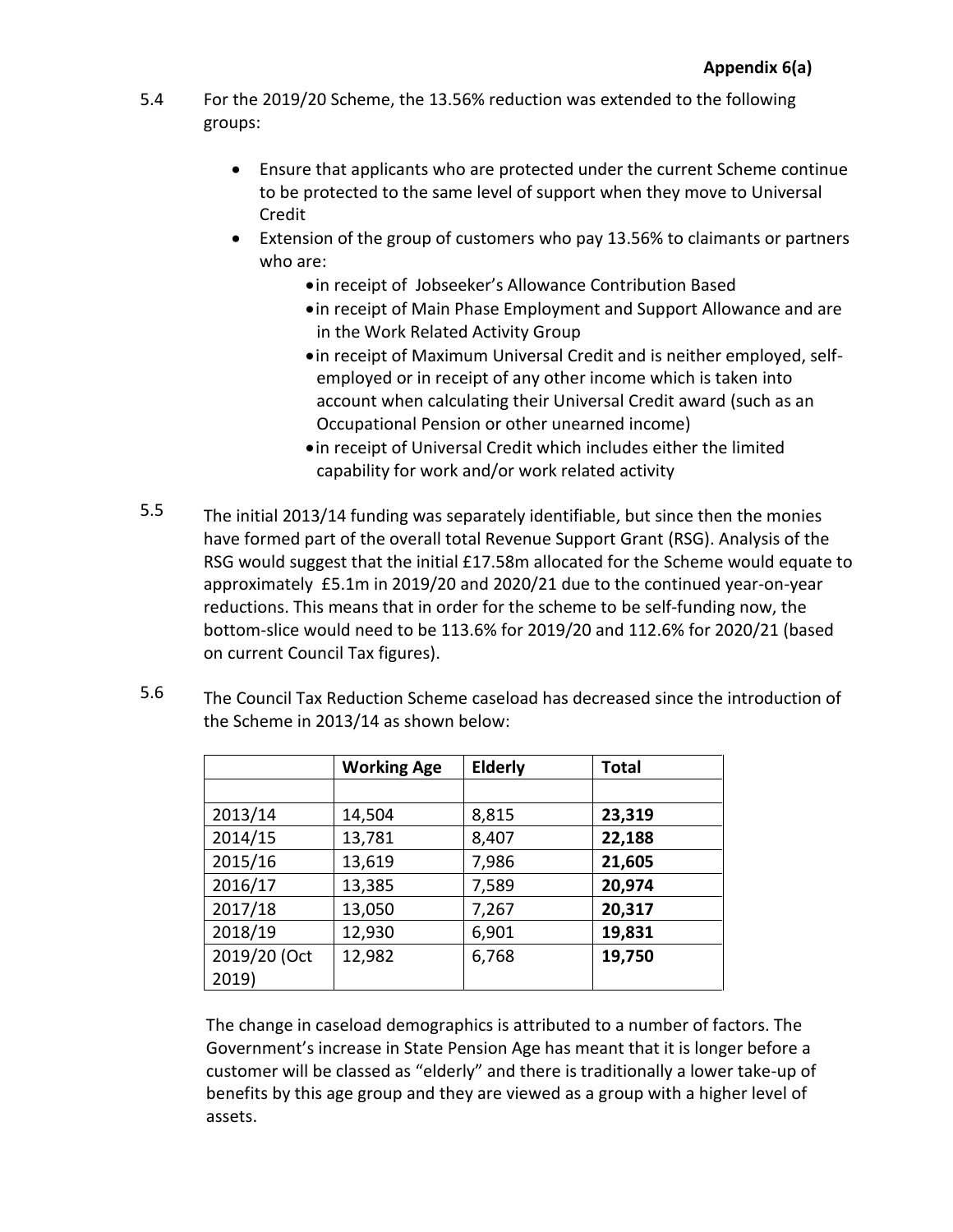- 5.4 For the 2019/20 Scheme, the 13.56% reduction was extended to the following groups:
	- Ensure that applicants who are protected under the current Scheme continue to be protected to the same level of support when they move to Universal Credit
	- Extension of the group of customers who pay 13.56% to claimants or partners who are:
		- in receipt of Jobseeker's Allowance Contribution Based
		- in receipt of Main Phase Employment and Support Allowance and are in the Work Related Activity Group
		- in receipt of Maximum Universal Credit and is neither employed, selfemployed or in receipt of any other income which is taken into account when calculating their Universal Credit award (such as an Occupational Pension or other unearned income)
		- in receipt of Universal Credit which includes either the limited capability for work and/or work related activity
- 5.5 The initial 2013/14 funding was separately identifiable, but since then the monies have formed part of the overall total Revenue Support Grant (RSG). Analysis of the RSG would suggest that the initial £17.58m allocated for the Scheme would equate to approximately £5.1m in 2019/20 and 2020/21 due to the continued year-on-year reductions. This means that in order for the scheme to be self-funding now, the bottom-slice would need to be 113.6% for 2019/20 and 112.6% for 2020/21 (based on current Council Tax figures).
- 5.6 The Council Tax Reduction Scheme caseload has decreased since the introduction of the Scheme in 2013/14 as shown below:

|              | <b>Working Age</b> | <b>Elderly</b> | <b>Total</b> |
|--------------|--------------------|----------------|--------------|
|              |                    |                |              |
| 2013/14      | 14,504             | 8,815          | 23,319       |
| 2014/15      | 13,781             | 8,407          | 22,188       |
| 2015/16      | 13,619             | 7,986          | 21,605       |
| 2016/17      | 13,385             | 7,589          | 20,974       |
| 2017/18      | 13,050             | 7,267          | 20,317       |
| 2018/19      | 12,930             | 6,901          | 19,831       |
| 2019/20 (Oct | 12,982             | 6,768          | 19,750       |
| 2019)        |                    |                |              |

The change in caseload demographics is attributed to a number of factors. The Government's increase in State Pension Age has meant that it is longer before a customer will be classed as "elderly" and there is traditionally a lower take-up of benefits by this age group and they are viewed as a group with a higher level of assets.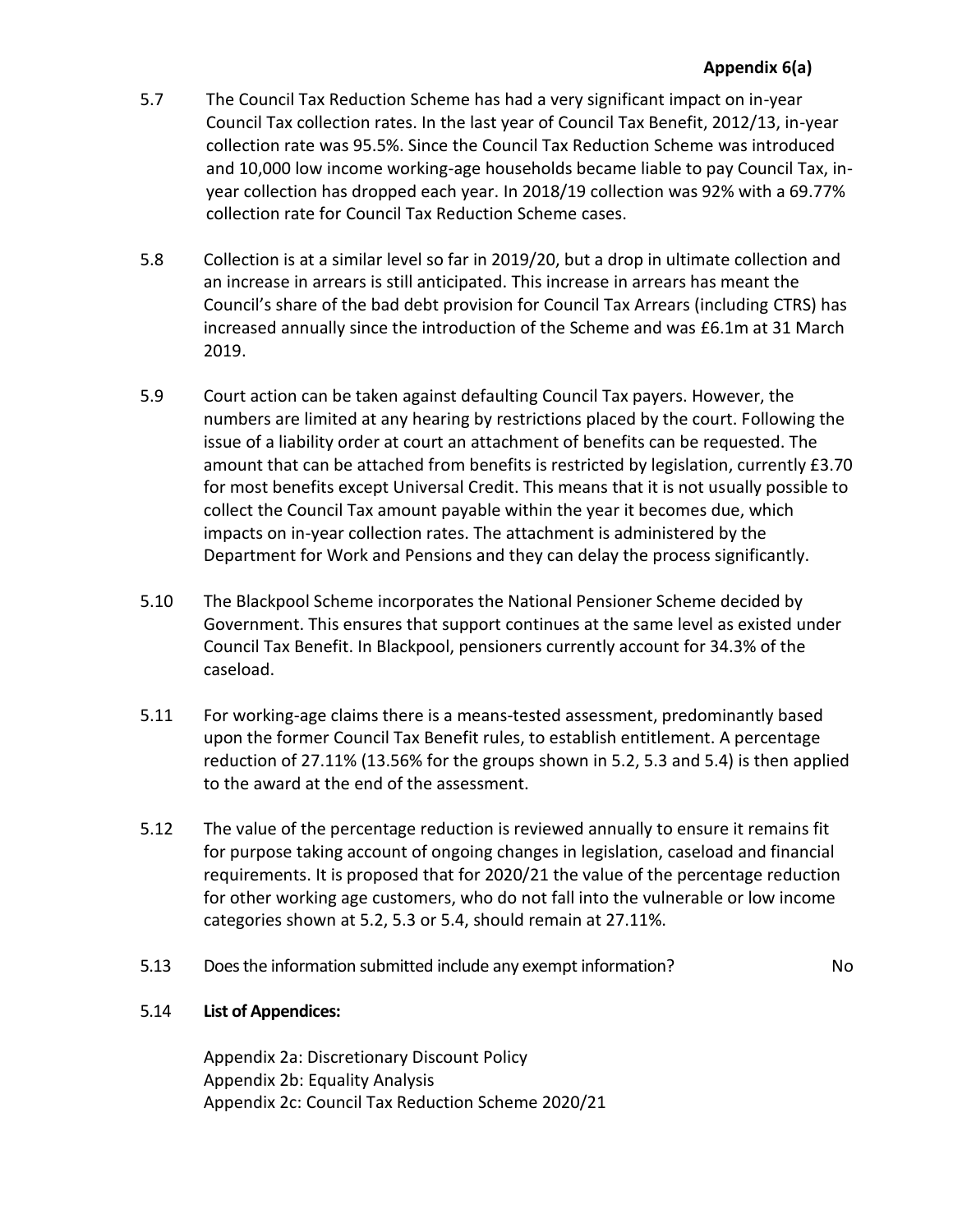# **Appendix 6(a)**

- 5.7 The Council Tax Reduction Scheme has had a very significant impact on in-year Council Tax collection rates. In the last year of Council Tax Benefit, 2012/13, in-year collection rate was 95.5%. Since the Council Tax Reduction Scheme was introduced and 10,000 low income working-age households became liable to pay Council Tax, inyear collection has dropped each year. In 2018/19 collection was 92% with a 69.77% collection rate for Council Tax Reduction Scheme cases.
- 5.8 Collection is at a similar level so far in 2019/20, but a drop in ultimate collection and an increase in arrears is still anticipated. This increase in arrears has meant the Council's share of the bad debt provision for Council Tax Arrears (including CTRS) has increased annually since the introduction of the Scheme and was £6.1m at 31 March 2019.
- 5.9 Court action can be taken against defaulting Council Tax payers. However, the numbers are limited at any hearing by restrictions placed by the court. Following the issue of a liability order at court an attachment of benefits can be requested. The amount that can be attached from benefits is restricted by legislation, currently £3.70 for most benefits except Universal Credit. This means that it is not usually possible to collect the Council Tax amount payable within the year it becomes due, which impacts on in-year collection rates. The attachment is administered by the Department for Work and Pensions and they can delay the process significantly.
- 5.10 The Blackpool Scheme incorporates the National Pensioner Scheme decided by Government. This ensures that support continues at the same level as existed under Council Tax Benefit. In Blackpool, pensioners currently account for 34.3% of the caseload.
- 5.11 For working-age claims there is a means-tested assessment, predominantly based upon the former Council Tax Benefit rules, to establish entitlement. A percentage reduction of 27.11% (13.56% for the groups shown in 5.2, 5.3 and 5.4) is then applied to the award at the end of the assessment.
- 5.12 The value of the percentage reduction is reviewed annually to ensure it remains fit for purpose taking account of ongoing changes in legislation, caseload and financial requirements. It is proposed that for 2020/21 the value of the percentage reduction for other working age customers, who do not fall into the vulnerable or low income categories shown at 5.2, 5.3 or 5.4, should remain at 27.11%.
- 5.13 Does the information submitted include any exempt information? No

# 5.14 **List of Appendices:**

Appendix 2a: Discretionary Discount Policy Appendix 2b: Equality Analysis Appendix 2c: Council Tax Reduction Scheme 2020/21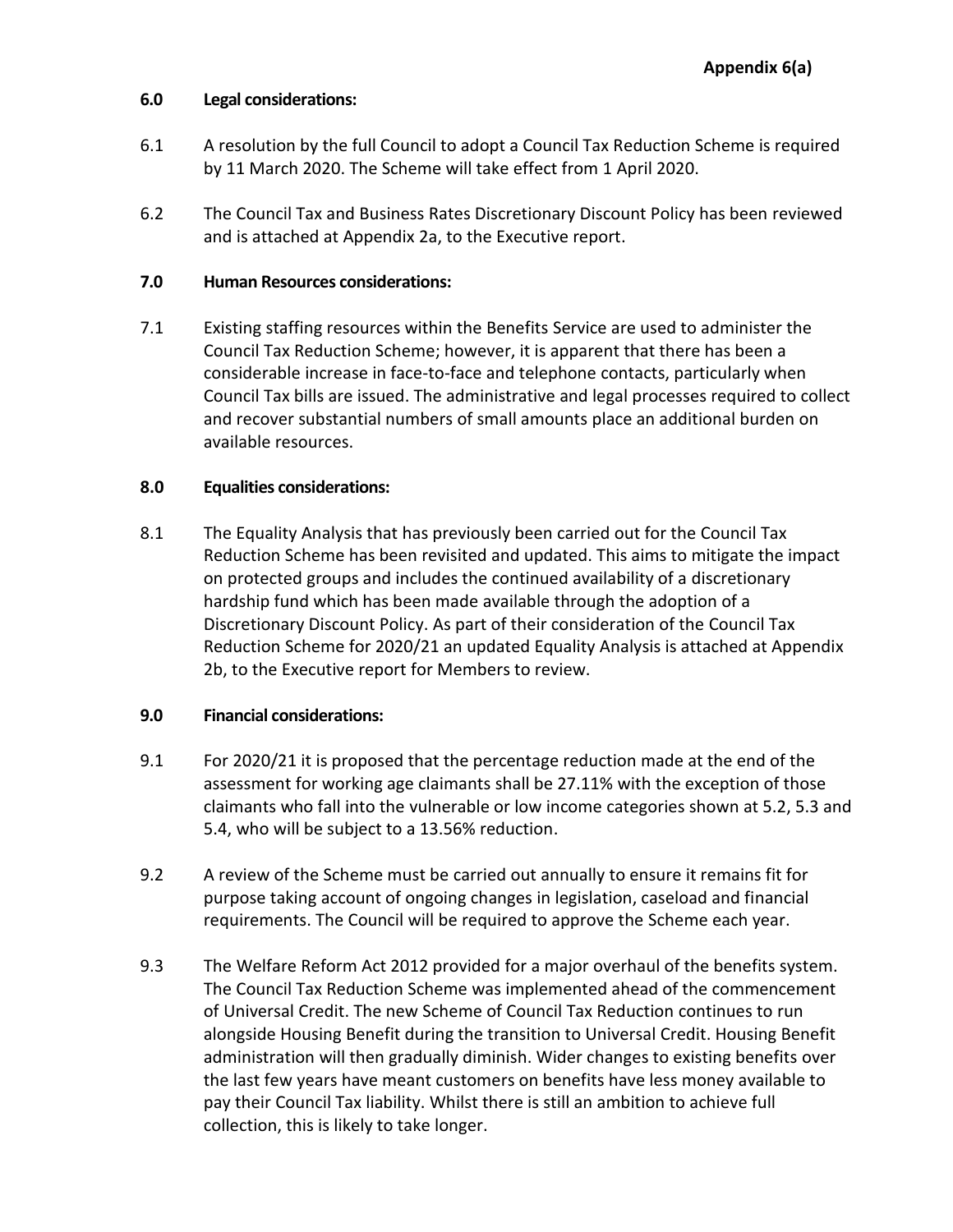# **6.0 Legal considerations:**

- 6.1 A resolution by the full Council to adopt a Council Tax Reduction Scheme is required by 11 March 2020. The Scheme will take effect from 1 April 2020.
- 6.2 The Council Tax and Business Rates Discretionary Discount Policy has been reviewed and is attached at Appendix 2a, to the Executive report.

## **7.0 Human Resources considerations:**

7.1 Existing staffing resources within the Benefits Service are used to administer the Council Tax Reduction Scheme; however, it is apparent that there has been a considerable increase in face-to-face and telephone contacts, particularly when Council Tax bills are issued. The administrative and legal processes required to collect and recover substantial numbers of small amounts place an additional burden on available resources.

# **8.0 Equalities considerations:**

8.1 The Equality Analysis that has previously been carried out for the Council Tax Reduction Scheme has been revisited and updated. This aims to mitigate the impact on protected groups and includes the continued availability of a discretionary hardship fund which has been made available through the adoption of a Discretionary Discount Policy. As part of their consideration of the Council Tax Reduction Scheme for 2020/21 an updated Equality Analysis is attached at Appendix 2b, to the Executive report for Members to review.

# **9.0 Financial considerations:**

- 9.1 For 2020/21 it is proposed that the percentage reduction made at the end of the assessment for working age claimants shall be 27.11% with the exception of those claimants who fall into the vulnerable or low income categories shown at 5.2, 5.3 and 5.4, who will be subject to a 13.56% reduction.
- 9.2 A review of the Scheme must be carried out annually to ensure it remains fit for purpose taking account of ongoing changes in legislation, caseload and financial requirements. The Council will be required to approve the Scheme each year.
- 9.3 The Welfare Reform Act 2012 provided for a major overhaul of the benefits system. The Council Tax Reduction Scheme was implemented ahead of the commencement of Universal Credit. The new Scheme of Council Tax Reduction continues to run alongside Housing Benefit during the transition to Universal Credit. Housing Benefit administration will then gradually diminish. Wider changes to existing benefits over the last few years have meant customers on benefits have less money available to pay their Council Tax liability. Whilst there is still an ambition to achieve full collection, this is likely to take longer.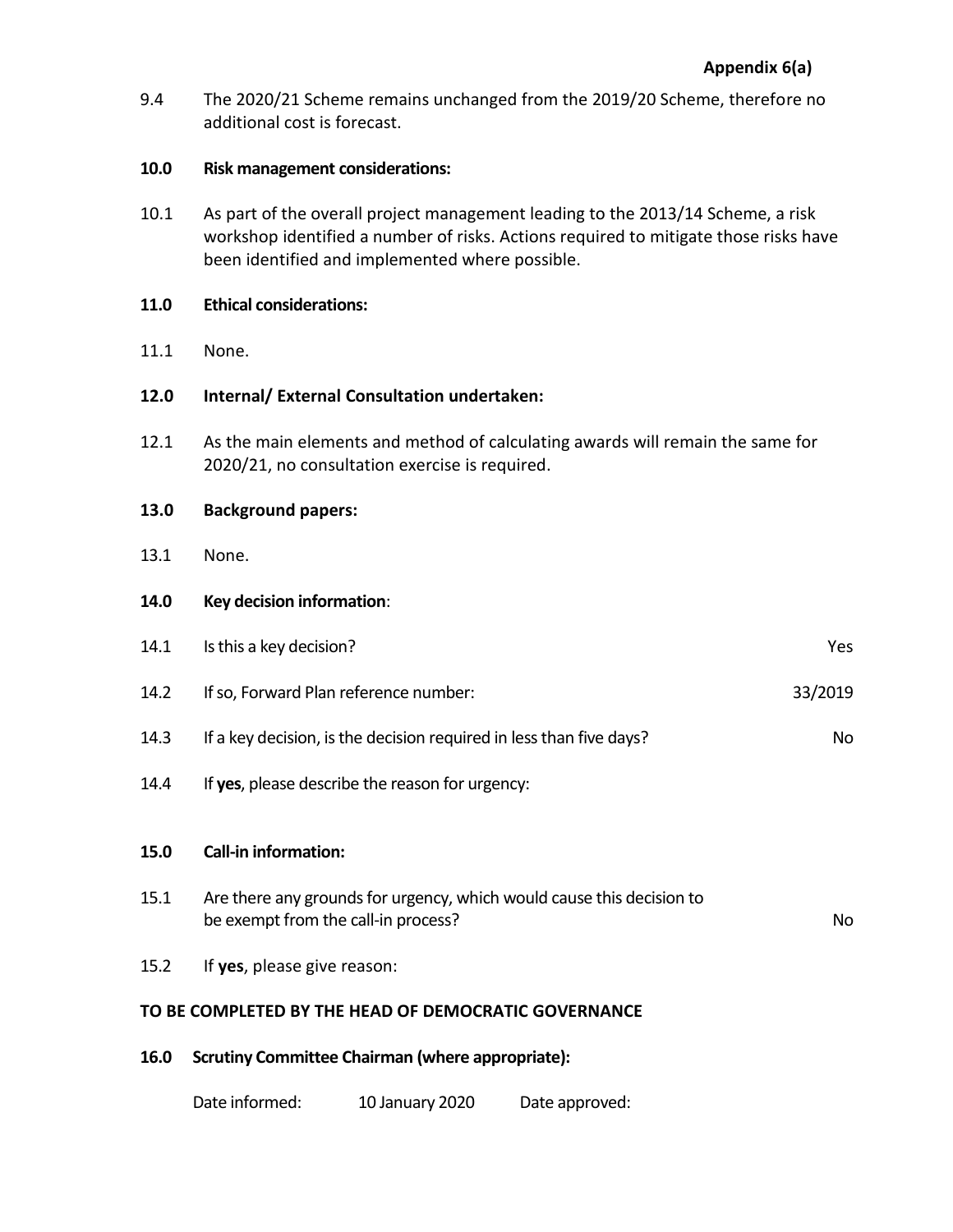9.4 The 2020/21 Scheme remains unchanged from the 2019/20 Scheme, therefore no additional cost is forecast.

## **10.0 Risk management considerations:**

10.1 As part of the overall project management leading to the 2013/14 Scheme, a risk workshop identified a number of risks. Actions required to mitigate those risks have been identified and implemented where possible.

#### **11.0 Ethical considerations:**

11.1 None.

# **12.0 Internal/ External Consultation undertaken:**

12.1 As the main elements and method of calculating awards will remain the same for 2020/21, no consultation exercise is required.

# **13.0 Background papers:**

13.1 None.

# **14.0 Key decision information**:

| 14.1                                                 | Is this a key decision?                                                                                      | <b>Yes</b> |  |
|------------------------------------------------------|--------------------------------------------------------------------------------------------------------------|------------|--|
| 14.2                                                 | If so, Forward Plan reference number:                                                                        | 33/2019    |  |
| 14.3                                                 | If a key decision, is the decision required in less than five days?                                          | No         |  |
| 14.4                                                 | If yes, please describe the reason for urgency:                                                              |            |  |
|                                                      |                                                                                                              |            |  |
| 15.0                                                 | <b>Call-in information:</b>                                                                                  |            |  |
| 15.1                                                 | Are there any grounds for urgency, which would cause this decision to<br>be exempt from the call-in process? | No.        |  |
| 15.2                                                 | If yes, please give reason:                                                                                  |            |  |
| TO BE COMPLETED BY THE HEAD OF DEMOCRATIC GOVERNANCE |                                                                                                              |            |  |
| 16.0                                                 | <b>Scrutiny Committee Chairman (where appropriate):</b>                                                      |            |  |

Date informed: 10 January 2020 Date approved: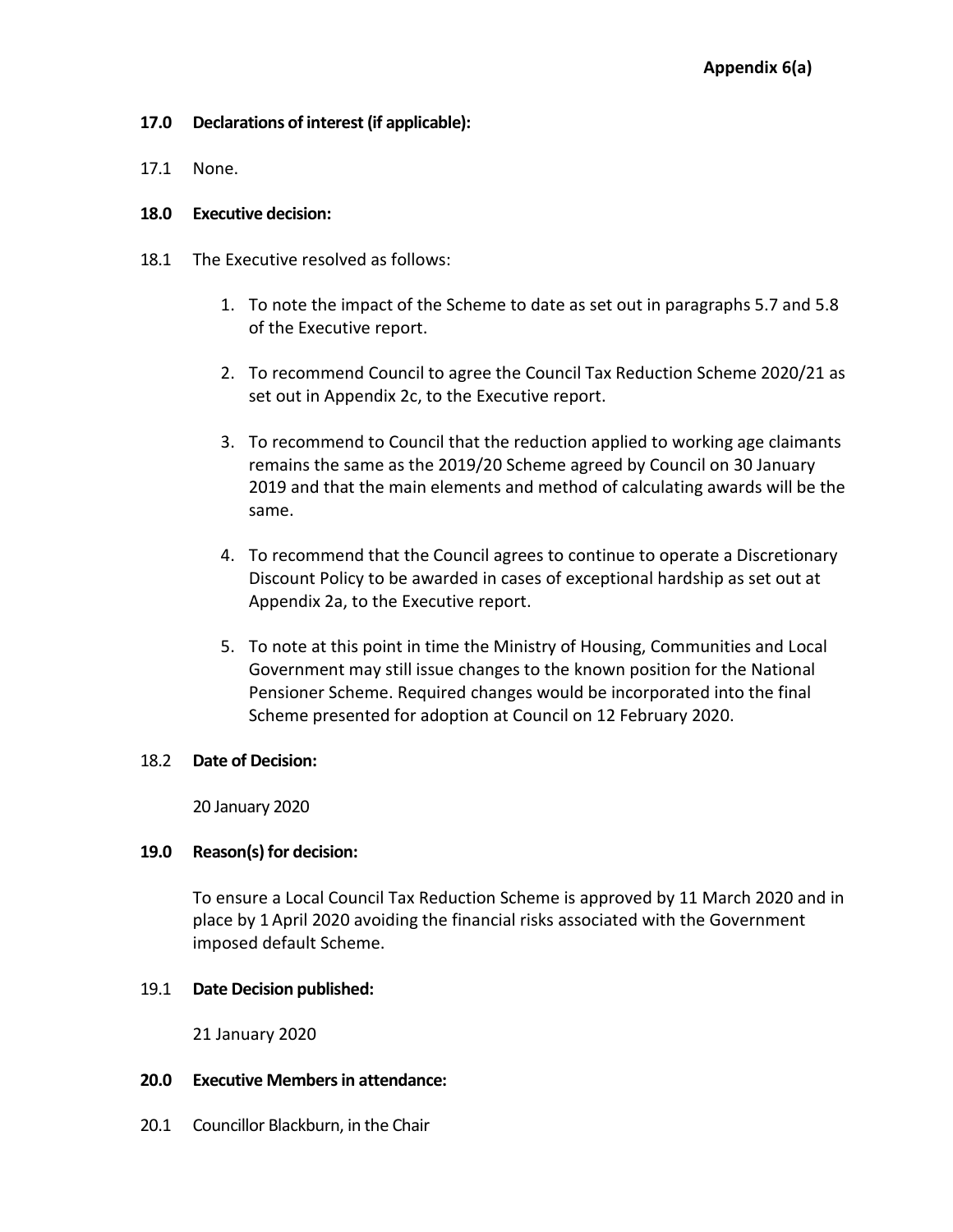# **17.0 Declarations of interest (if applicable):**

17.1 None.

## **18.0 Executive decision:**

- 18.1 The Executive resolved as follows:
	- 1. To note the impact of the Scheme to date as set out in paragraphs 5.7 and 5.8 of the Executive report.
	- 2. To recommend Council to agree the Council Tax Reduction Scheme 2020/21 as set out in Appendix 2c, to the Executive report.
	- 3. To recommend to Council that the reduction applied to working age claimants remains the same as the 2019/20 Scheme agreed by Council on 30 January 2019 and that the main elements and method of calculating awards will be the same.
	- 4. To recommend that the Council agrees to continue to operate a Discretionary Discount Policy to be awarded in cases of exceptional hardship as set out at Appendix 2a, to the Executive report.
	- 5. To note at this point in time the Ministry of Housing, Communities and Local Government may still issue changes to the known position for the National Pensioner Scheme. Required changes would be incorporated into the final Scheme presented for adoption at Council on 12 February 2020.

# 18.2 **Date of Decision:**

20 January 2020

# **19.0 Reason(s) for decision:**

To ensure a Local Council Tax Reduction Scheme is approved by 11 March 2020 and in place by 1 April 2020 avoiding the financial risks associated with the Government imposed default Scheme.

# 19.1 **Date Decision published:**

21 January 2020

#### **20.0 Executive Members in attendance:**

20.1 Councillor Blackburn, in the Chair